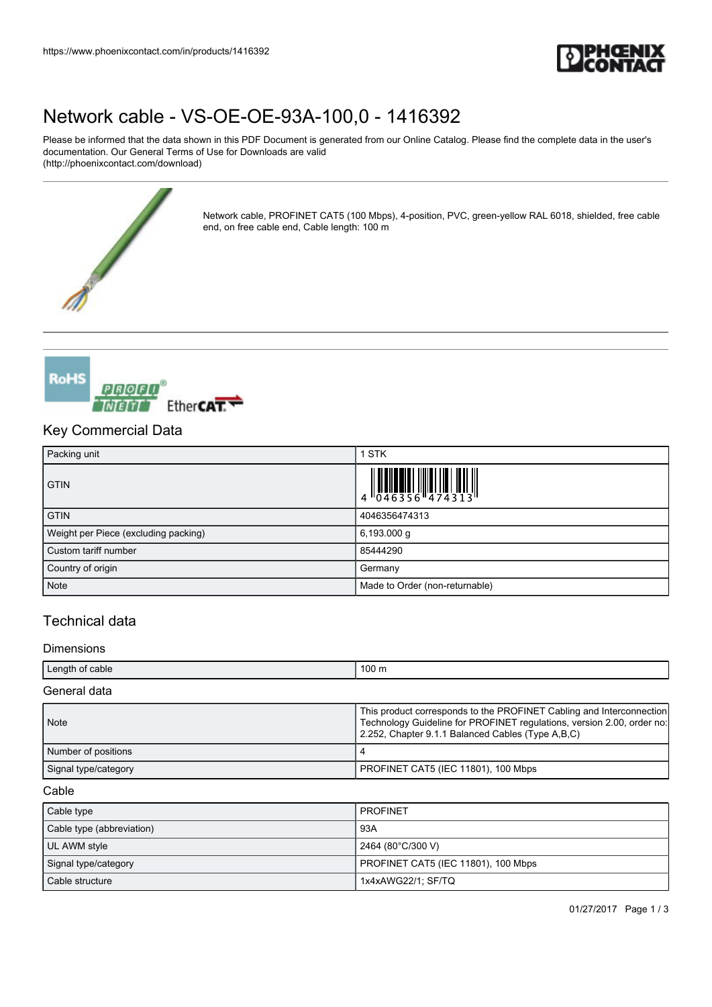

# [Network cable - VS-OE-OE-93A-100,0 - 1416392](https://www.phoenixcontact.com/in/products/1416392)

end, on free cable end, Cable length: 100 m

Please be informed that the data shown in this PDF Document is generated from our Online Catalog. Please find the complete data in the user's documentation. Our General Terms of Use for Downloads are valid (http://phoenixcontact.com/download)

Network cable, PROFINET CAT5 (100 Mbps), 4-position, PVC, green-yellow RAL 6018, shielded, free cable



## Key Commercial Data

| Packing unit                         | <b>STK</b>                     |
|--------------------------------------|--------------------------------|
| <b>GTIN</b>                          |                                |
| <b>GTIN</b>                          | 4046356474313                  |
| Weight per Piece (excluding packing) | $6,193.000$ g                  |
| Custom tariff number                 | 85444290                       |
| Country of origin                    | Germany                        |
| Note                                 | Made to Order (non-returnable) |

## Technical data

### Dimensions

| Length of cable      | $100 \text{ m}$                                                                                                                                                                                     |
|----------------------|-----------------------------------------------------------------------------------------------------------------------------------------------------------------------------------------------------|
| General data         |                                                                                                                                                                                                     |
| <b>Note</b>          | This product corresponds to the PROFINET Cabling and Interconnection<br>Technology Guideline for PROFINET regulations, version 2.00, order no:<br>2.252, Chapter 9.1.1 Balanced Cables (Type A.B.C) |
| Number of positions  |                                                                                                                                                                                                     |
| Signal type/category | PROFINET CAT5 (IEC 11801), 100 Mbps                                                                                                                                                                 |

## Cable

| Cable type                | <b>PROFINET</b>                     |
|---------------------------|-------------------------------------|
| Cable type (abbreviation) | 93A                                 |
| UL AWM style              | 2464 (80°C/300 V)                   |
| Signal type/category      | PROFINET CAT5 (IEC 11801), 100 Mbps |
| Cable structure           | 1x4xAWG22/1; SF/TQ                  |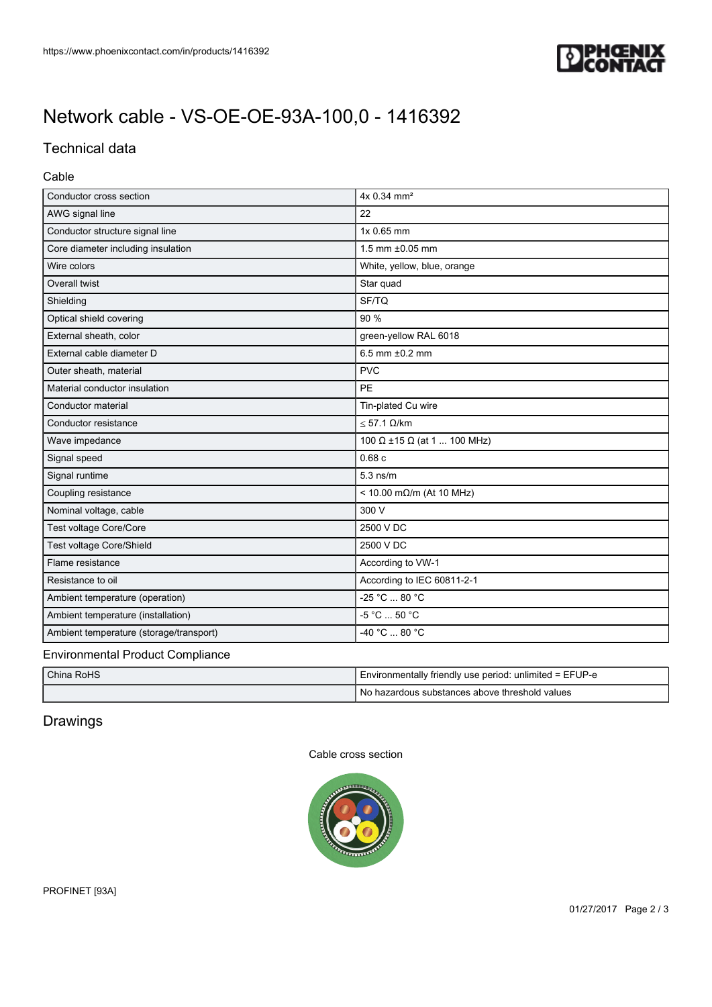

# [Network cable - VS-OE-OE-93A-100,0 - 1416392](https://www.phoenixcontact.com/in/products/1416392)

## Technical data

## Cable

| Conductor cross section                 | 4x 0.34 mm <sup>2</sup>     |
|-----------------------------------------|-----------------------------|
| AWG signal line                         | 22                          |
| Conductor structure signal line         | 1x 0.65 mm                  |
| Core diameter including insulation      | 1.5 mm ±0.05 mm             |
| Wire colors                             | White, yellow, blue, orange |
| Overall twist                           | Star quad                   |
| Shielding                               | SF/TQ                       |
| Optical shield covering                 | 90 %                        |
| External sheath, color                  | green-yellow RAL 6018       |
| External cable diameter D               | 6.5 mm $±0.2$ mm            |
| Outer sheath, material                  | <b>PVC</b>                  |
| Material conductor insulation           | PE                          |
| Conductor material                      | Tin-plated Cu wire          |
| Conductor resistance                    | $\leq$ 57.1 $\Omega$ /km    |
| Wave impedance                          | 100 Ω ±15 Ω (at 1  100 MHz) |
| Signal speed                            | 0.68c                       |
| Signal runtime                          | $5.3$ ns/m                  |
| Coupling resistance                     | < 10.00 mΩ/m (At 10 MHz)    |
| Nominal voltage, cable                  | 300 V                       |
| Test voltage Core/Core                  | 2500 V DC                   |
| Test voltage Core/Shield                | 2500 V DC                   |
| Flame resistance                        | According to VW-1           |
| Resistance to oil                       | According to IEC 60811-2-1  |
| Ambient temperature (operation)         | -25 °C  80 °C               |
| Ambient temperature (installation)      | -5 °C  50 °C                |
| Ambient temperature (storage/transport) | $-40 °C  80 °C$             |
| Environmental Product Compliance        |                             |

## Environmental Product Compliance

| China RoHS | Environmentally friendly use period: unlimited = EFUP-e |
|------------|---------------------------------------------------------|
|            | l No hazardous substances above threshold values        |

## Drawings

## Cable cross section